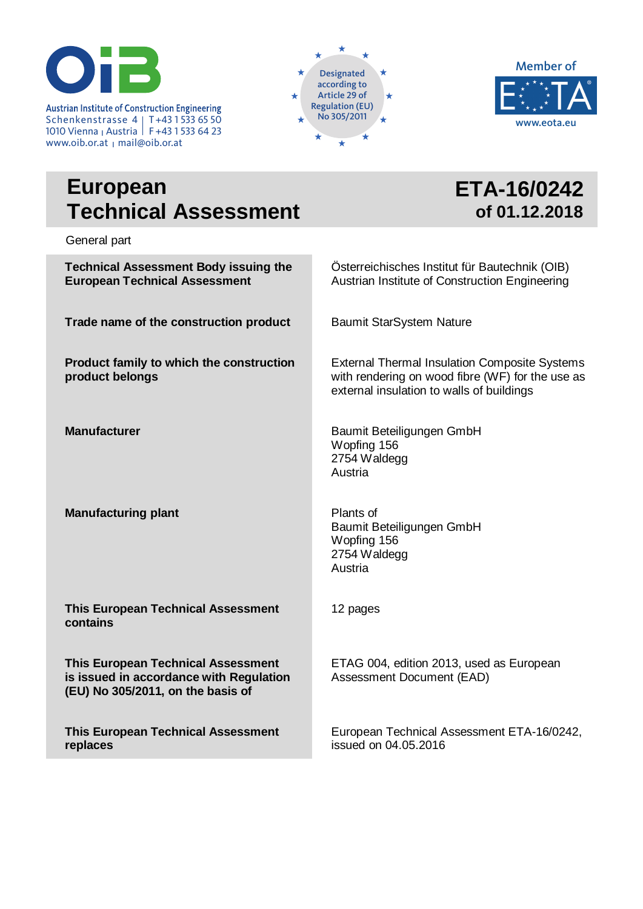

Austrian Institute of Construction Engineering<br>
Schenkenstrasse ALLT+431533.65.50 Schenkenstrasse 4 T+43 1 533 65 50 1010 Vienna <sub>I</sub> Austria | F+43 1 533 64 23 www.oib.or.at <sub>Ι</sub> mail@oib.or.at





**ETA-16/0242**

**of 01.12.2018**

## **European Technical Assessment**

General part

**Technical Assessment Body issuing the European Technical Assessment Trade name of the construction product Product family to which the construction product belongs Manufacturer Manufacturing plant This European Technical Assessment contains This European Technical Assessment is issued in accordance with Regulation (EU) No 305/2011, on the basis of This European Technical Assessment**  Österreichisches Institut für Bautechnik (OIB) Austrian Institute of Construction Engineering Baumit StarSystem Nature external insulation to walls of buildings Baumit Beteiligungen GmbH Wopfing 156 2754 Waldegg Austria Plants of Baumit Beteiligungen GmbH Wopfing 156 2754 Waldegg Austria 12 pages ETAG 004, edition 2013, used as European Assessment Document (EAD)

**replaces**

External Thermal Insulation Composite Systems with rendering on wood fibre (WF) for the use as

European Technical Assessment ETA-16/0242, issued on 04.05.2016